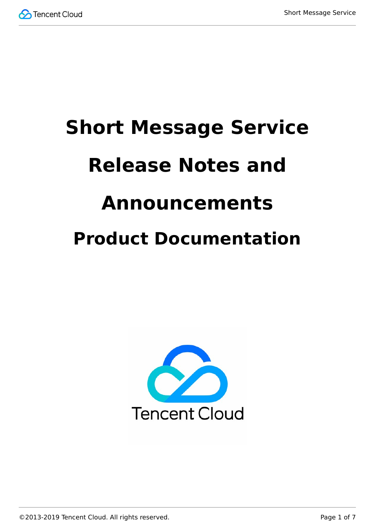

# **Short Message Service Release Notes and Announcements Product Documentation**



©2013-2019 Tencent Cloud. All rights reserved. Page 1 of 7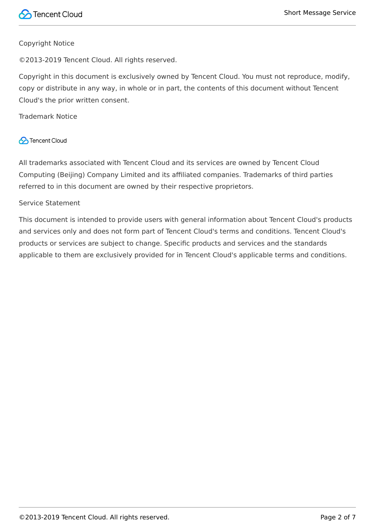#### Copyright Notice

©2013-2019 Tencent Cloud. All rights reserved.

Copyright in this document is exclusively owned by Tencent Cloud. You must not reproduce, modify, copy or distribute in any way, in whole or in part, the contents of this document without Tencent Cloud's the prior written consent.

Trademark Notice

#### **C** Tencent Cloud

All trademarks associated with Tencent Cloud and its services are owned by Tencent Cloud Computing (Beijing) Company Limited and its affiliated companies. Trademarks of third parties referred to in this document are owned by their respective proprietors.

#### Service Statement

This document is intended to provide users with general information about Tencent Cloud's products and services only and does not form part of Tencent Cloud's terms and conditions. Tencent Cloud's products or services are subject to change. Specific products and services and the standards applicable to them are exclusively provided for in Tencent Cloud's applicable terms and conditions.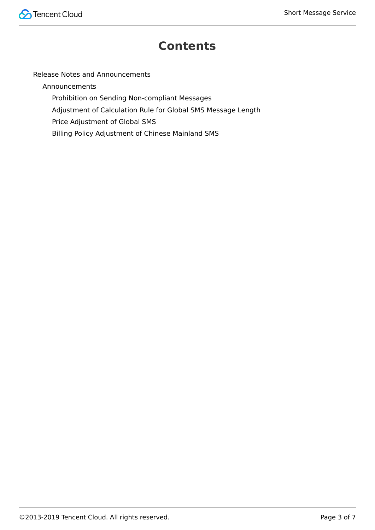

### **Contents**

[Release Notes and Announcements](#page-3-0)

[Announcements](#page-3-1)

[Prohibition on Sending Non-compliant Messages](#page-3-2)

[Adjustment of Calculation Rule for Global SMS Message Length](#page-4-0)

[Price Adjustment of Global SMS](#page-5-0)

[Billing Policy Adjustment of Chinese Mainland SMS](#page-6-0)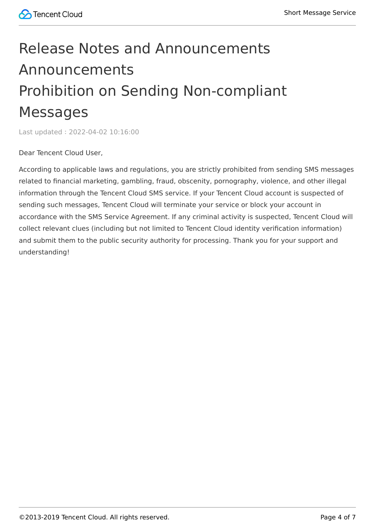## <span id="page-3-2"></span><span id="page-3-1"></span><span id="page-3-0"></span>Release Notes and Announcements Announcements Prohibition on Sending Non-compliant Messages

Last updated:2022-04-02 10:16:00

Dear Tencent Cloud User,

According to applicable laws and regulations, you are strictly prohibited from sending SMS messages related to financial marketing, gambling, fraud, obscenity, pornography, violence, and other illegal information through the Tencent Cloud SMS service. If your Tencent Cloud account is suspected of sending such messages, Tencent Cloud will terminate your service or block your account in accordance with the SMS Service Agreement. If any criminal activity is suspected, Tencent Cloud will collect relevant clues (including but not limited to Tencent Cloud identity verification information) and submit them to the public security authority for processing. Thank you for your support and understanding!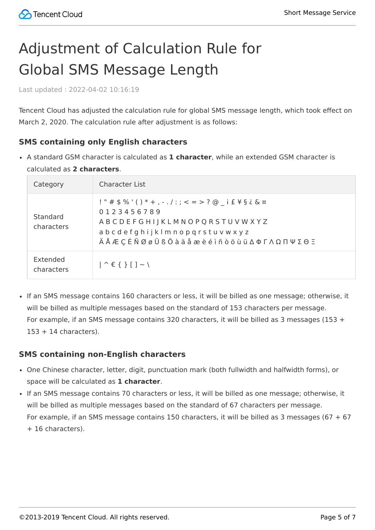### <span id="page-4-0"></span>Adjustment of Calculation Rule for Global SMS Message Length

Last updated:2022-04-02 10:16:19

Tencent Cloud has adjusted the calculation rule for global SMS message length, which took effect on March 2, 2020. The calculation rule after adjustment is as follows:

#### **SMS containing only English characters**

A standard GSM character is calculated as **1 character**, while an extended GSM character is calculated as **2 characters**.

| Category               | Character List                                                                                                                                                                                                                                                                                                                                                                                        |
|------------------------|-------------------------------------------------------------------------------------------------------------------------------------------------------------------------------------------------------------------------------------------------------------------------------------------------------------------------------------------------------------------------------------------------------|
| Standard<br>characters | !"#\$%'()*+,-./:;<=>?@ i£\§¿&¤<br>0123456789<br>ABCDEFGHIJKLMNOPQRSTUVWXYZ<br>abcdefghijklmnopqrstuvwxyz<br>$\ddot{A}$ $A$ $E$ $C$ $E$ $\ddot{N}$ $Q$ $g$ $\ddot{U}$ $S$ $\ddot{O}$ $\dot{a}$ $\ddot{a}$ $\dot{a}$ $\dot{a}$ $\dot{e}$ $\dot{e}$ $\dot{b}$ $\ddot{0}$ $\ddot{a}$ $\ddot{a}$ $\dot{c}$ $\dot{b}$ $\ddot{c}$ $\dot{c}$ $\dot{u}$ $\Delta$ $\Phi$ $\Gamma$ $\Lambda$ $\Omega$ $\Pi$ $\P$ |
| Extended<br>characters | $\left  \uparrow \in \{ \} \right $ $\left  \uparrow \right $                                                                                                                                                                                                                                                                                                                                         |

If an SMS message contains 160 characters or less, it will be billed as one message; otherwise, it will be billed as multiple messages based on the standard of 153 characters per message. For example, if an SMS message contains 320 characters, it will be billed as 3 messages (153 +  $153 + 14$  characters).

#### **SMS containing non-English characters**

- One Chinese character, letter, digit, punctuation mark (both fullwidth and halfwidth forms), or space will be calculated as **1 character**.
- If an SMS message contains 70 characters or less, it will be billed as one message; otherwise, it will be billed as multiple messages based on the standard of 67 characters per message. For example, if an SMS message contains 150 characters, it will be billed as 3 messages (67 + 67 + 16 characters).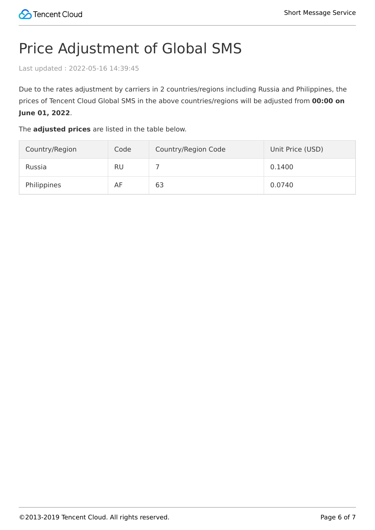### <span id="page-5-0"></span>Price Adjustment of Global SMS

Last updated:2022-05-16 14:39:45

Due to the rates adjustment by carriers in 2 countries/regions including Russia and Philippines, the prices of Tencent Cloud Global SMS in the above countries/regions will be adjusted from **00:00 on June 01, 2022**.

The **adjusted prices** are listed in the table below.

| Country/Region | Code      | Country/Region Code | Unit Price (USD) |
|----------------|-----------|---------------------|------------------|
| Russia         | <b>RU</b> |                     | 0.1400           |
| Philippines    | AF        | 63                  | 0.0740           |